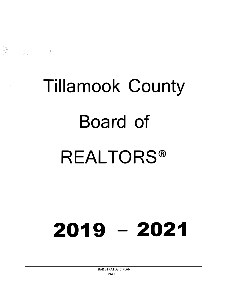# **Tillamook County Board of REALTORS ®**

# 2019 **-** 2021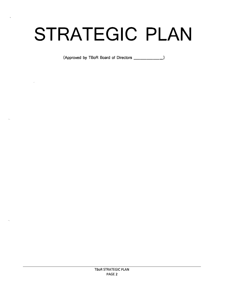# **STRATEGIC PLAN**

(Approved by TBoR Board of Directors \_\_\_\_\_\_\_\_\_\_\_\_)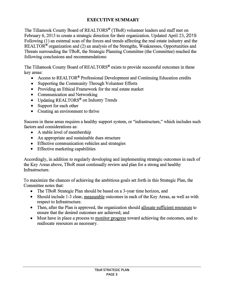# **EXECUTIVE SUMMARY**

The Tillamook County Board of REALTORS® (TBoR) volunteer leaders and staff met on February 6, 2015 to create a strategic direction for their organization. Updated April 23, 2019. Following (1) an external scan of the forces and trends affecting the real estate industry and the REALTOR<sup>®</sup> organization and (2) an analysis of the Strengths, Weaknesses, Opportunities and Threats surrounding the TBoR, the Strategic Planning Committee (the Committee) reached the following conclusions and recommendations:

The Tillamook County Board of REALTORS® exists to provide successful outcomes in these key areas:

- Access to REALTOR<sup>®</sup> Professional Development and Continuing Education credits
- Supporting the Community Through Volunteer Efforts
- Providing an Ethical Framework for the real estate market
- Communication and Networking
- Updating REALTORS<sup>®</sup> on Industry Trends
- Support for each other
- Creating an environment to thrive

Success in these areas requires a healthy support system, or "infrastructure," which includes such factors and considerations as:

- A stable level of membership
- An appropriate and sustainable dues structure
- Effective communication vehicles and strategies
- Effective marketing capabilities

Accordingly, in addition to regularly developing and implementing strategic outcomes in each of the Key Areas above, TBoR must continually review and plan for a strong and healthy Infrastructure.

To maximize the chances of achieving the ambitious goals set forth in this Strategic Plan, the Committee notes that:

- The TBoR Strategic Plan should be based on a 3-year time horizon, and
- Should include 1-3 clear, measurable outcomes in each of the Key Areas, as well as with respect to Infrastructure.
- Then, after the Plan is approved, the organization should allocate sufficient resources to ensure that the desired outcomes are achieved; and
- Must have in place a process to monitor progress toward achieving the outcomes, and to reallocate resources as necessary.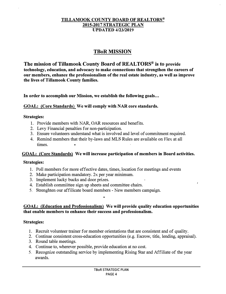#### **TILLAMOOK COUNTY BOARD OF REALTORS® 2015-2017 STRATEGIC PLAN UPDATED 4/23/2019**

# **TBoR MISSION**

**The mission of Tillamook County Board of REAL TORS® is to provide technology, education, and advocacy to make connections that strengthen the careers of our members, enhance the professionalism of the real estate industry, as well as improve the lives of Tillamook County families.** 

**In order to accomplish our Mission, we establish the following goals ...** 

#### **GOAL: (Core Standards) We will comply with NAR core standards.**

#### **Strategies:**

- 1. Provide members with NAR, OAR resources and benefits.
- 2. Levy Financial penalties for non-participation.
- 3. Ensure volunteers understand what is involved and level of commitment required.
- 4. Remind members that their by-laws and MLS Rules are available on Flex at all times.

#### **GOAL: (Core Standards) We will increase participation of members in Board activities.**

#### **Strategies:**

- 1. Poll members for more effective dates, times, location for meetings and events
- 2. Make participation mandatory. 2x per year minimum.
- 3. Implement lucky bucks and door prizes.
- 4. Establish commiittee sign up sheets and committee chairs.
- 5. Strenghten our affilicate board members New members campaign.

#### **GOAL: (Education and Professionalism) We will provide quality education opportunities that enable members to enhance their success and professionalism.**

#### **Strategies:**

- 1. Recruit volunteer trainer for member orientations that are consistent and of quality.
- 2. Continue consistent cross-education opportunities (e.g. Escrow, title, lending, appraisal).
- 3. Round table meetings.
- 4. Continue to, wherever possible, provide education at no cost.
- 5. Recognize outstanding service by implementing Rising Star and Affiliate of the year awards.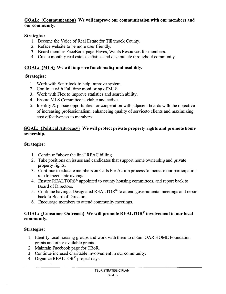#### **GOAL: {Communication) We will improve our communication with our members and our community.**

# **Strategies:**

- 1. Become the Voice of Real Estate for Tillamook County.
- 2. Reface website to be more user friendly.
- 3. Board member FaceBook page Haves, Wants Resources for members.
- 4. Create monthly real estate statistics and dissimulate throughout community.

# **GOAL: {MLS) We will improve functionality and usability.**

# **Strategies:**

- 1. Work with Sentrilock to help improve system.
- 2. Continue with Full time monitoring of MLS.
- 3. Work with Flex to improve statistics and search ability.
- 4. Ensure MLS Committee is viable and active.
- 5. Identify & pursue opportunties for cooperation with adjacent boards with the objective of increasing professionalism, enhanceing quality of serviceto clients and maximizing cost effectiveness to members.

### **GOAL: {Political Advocacy) We will protect private property rights and promote home ownership.**

# **Strategies:**

- 1. Continue "above the line" RPAC billing.
- 2. Take positions on issues and candidates that support home ownership and private property rights.
- 3. Continue to educate members on Calls For Action process to increase our participation rate to meet state average.
- 4. Ensure REALTORS<sup>®</sup> appointed to county housing committees, and report back to Board of Directors.
- 5. Continue having a Designated REALTOR® to attend governmental meetings and report back to Board of Directors.
- 6. Encourage members to attend community meetings.

### **GOAL: {Consumer Outreach) We will promote REAL TOR® involvement in our local community.**

# **Strategies:**

- 1. Identify local housing groups and work with them to obtain OAR HOME Foundation grants and other available grants.
- 2. Maintain Facebook page for TBoR.
- 3. Continue incresed charitable involvement in our community.
- 4. Organize REALTOR® project days.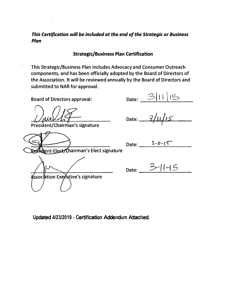This Certification will be included at the end of the Strategic or Business Plan

**Strategic/Business Plan Certification** 

This Strategic/Business Plan includes Advocacy and Consumer Outreach components, and has been officially adopted by the Board of Directors of the Association. It will be reviewed annually by the Board of Directors and submitted to NAR for approval.

**Board of Directors approval:** 

President/Chairman's signature

lent-Elect/Chairman's Elect signature

ssociation Executive's signature

Date:  $3/11/15$ <br>Date:  $3/11/15$ 

Date:  $3 - l(-15)$ 

Date:  $3-11-15$ 

Updated 4/23/2019 - Certification Addendum Attached.